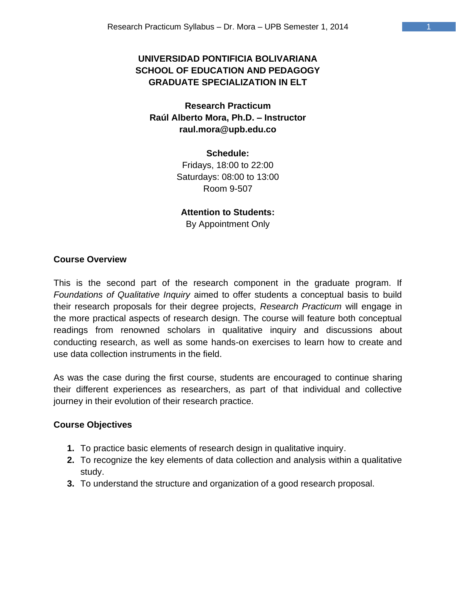# **UNIVERSIDAD PONTIFICIA BOLIVARIANA SCHOOL OF EDUCATION AND PEDAGOGY GRADUATE SPECIALIZATION IN ELT**

**Research Practicum Raúl Alberto Mora, Ph.D. – Instructor raul.mora@upb.edu.co**

> **Schedule:**  Fridays, 18:00 to 22:00 Saturdays: 08:00 to 13:00 Room 9-507

#### **Attention to Students:**

By Appointment Only

### **Course Overview**

This is the second part of the research component in the graduate program. If *Foundations of Qualitative Inquiry* aimed to offer students a conceptual basis to build their research proposals for their degree projects, *Research Practicum* will engage in the more practical aspects of research design. The course will feature both conceptual readings from renowned scholars in qualitative inquiry and discussions about conducting research, as well as some hands-on exercises to learn how to create and use data collection instruments in the field.

As was the case during the first course, students are encouraged to continue sharing their different experiences as researchers, as part of that individual and collective journey in their evolution of their research practice.

#### **Course Objectives**

- **1.** To practice basic elements of research design in qualitative inquiry.
- **2.** To recognize the key elements of data collection and analysis within a qualitative study.
- **3.** To understand the structure and organization of a good research proposal.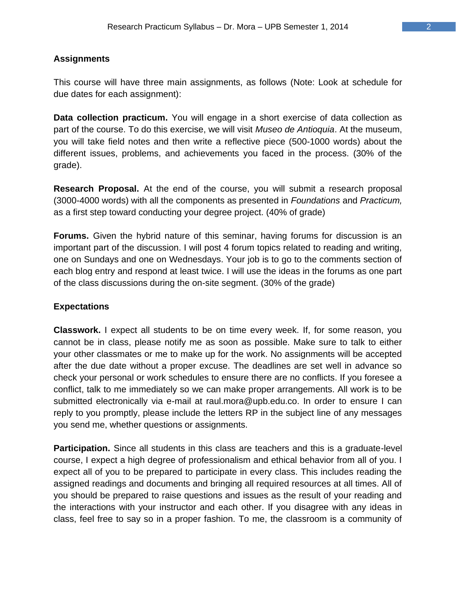### **Assignments**

This course will have three main assignments, as follows (Note: Look at schedule for due dates for each assignment):

**Data collection practicum.** You will engage in a short exercise of data collection as part of the course. To do this exercise, we will visit *Museo de Antioquia*. At the museum, you will take field notes and then write a reflective piece (500-1000 words) about the different issues, problems, and achievements you faced in the process. (30% of the grade).

**Research Proposal.** At the end of the course, you will submit a research proposal (3000-4000 words) with all the components as presented in *Foundations* and *Practicum,*  as a first step toward conducting your degree project. (40% of grade)

**Forums.** Given the hybrid nature of this seminar, having forums for discussion is an important part of the discussion. I will post 4 forum topics related to reading and writing, one on Sundays and one on Wednesdays. Your job is to go to the comments section of each blog entry and respond at least twice. I will use the ideas in the forums as one part of the class discussions during the on-site segment. (30% of the grade)

### **Expectations**

**Classwork.** I expect all students to be on time every week. If, for some reason, you cannot be in class, please notify me as soon as possible. Make sure to talk to either your other classmates or me to make up for the work. No assignments will be accepted after the due date without a proper excuse. The deadlines are set well in advance so check your personal or work schedules to ensure there are no conflicts. If you foresee a conflict, talk to me immediately so we can make proper arrangements. All work is to be submitted electronically via e-mail at raul.mora@upb.edu.co. In order to ensure I can reply to you promptly, please include the letters RP in the subject line of any messages you send me, whether questions or assignments.

**Participation.** Since all students in this class are teachers and this is a graduate-level course, I expect a high degree of professionalism and ethical behavior from all of you. I expect all of you to be prepared to participate in every class. This includes reading the assigned readings and documents and bringing all required resources at all times. All of you should be prepared to raise questions and issues as the result of your reading and the interactions with your instructor and each other. If you disagree with any ideas in class, feel free to say so in a proper fashion. To me, the classroom is a community of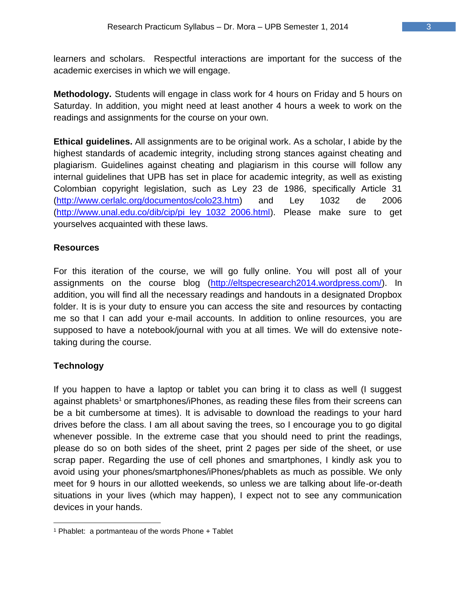learners and scholars. Respectful interactions are important for the success of the academic exercises in which we will engage.

**Methodology.** Students will engage in class work for 4 hours on Friday and 5 hours on Saturday. In addition, you might need at least another 4 hours a week to work on the readings and assignments for the course on your own.

**Ethical guidelines.** All assignments are to be original work. As a scholar, I abide by the highest standards of academic integrity, including strong stances against cheating and plagiarism. Guidelines against cheating and plagiarism in this course will follow any internal guidelines that UPB has set in place for academic integrity, as well as existing Colombian copyright legislation, such as Ley 23 de 1986, specifically Article 31 [\(http://www.cerlalc.org/documentos/colo23.htm\)](http://www.cerlalc.org/documentos/colo23.htm) and Ley 1032 de 2006 [\(http://www.unal.edu.co/dib/cip/pi\\_ley\\_1032\\_2006.html\)](http://www.unal.edu.co/dib/cip/pi_ley_1032_2006.html). Please make sure to get yourselves acquainted with these laws.

## **Resources**

For this iteration of the course, we will go fully online. You will post all of your assignments on the course blog [\(http://eltspecresearch2014.wordpress.com/\)](http://eltspecresearch2014.wordpress.com/). In addition, you will find all the necessary readings and handouts in a designated Dropbox folder. It is is your duty to ensure you can access the site and resources by contacting me so that I can add your e-mail accounts. In addition to online resources, you are supposed to have a notebook/journal with you at all times. We will do extensive notetaking during the course.

# **Technology**

If you happen to have a laptop or tablet you can bring it to class as well (I suggest against phablets<sup>1</sup> or smartphones/iPhones, as reading these files from their screens can be a bit cumbersome at times). It is advisable to download the readings to your hard drives before the class. I am all about saving the trees, so I encourage you to go digital whenever possible. In the extreme case that you should need to print the readings, please do so on both sides of the sheet, print 2 pages per side of the sheet, or use scrap paper. Regarding the use of cell phones and smartphones, I kindly ask you to avoid using your phones/smartphones/iPhones/phablets as much as possible. We only meet for 9 hours in our allotted weekends, so unless we are talking about life-or-death situations in your lives (which may happen), I expect not to see any communication devices in your hands.

<sup>1</sup> Phablet: a portmanteau of the words Phone + Tablet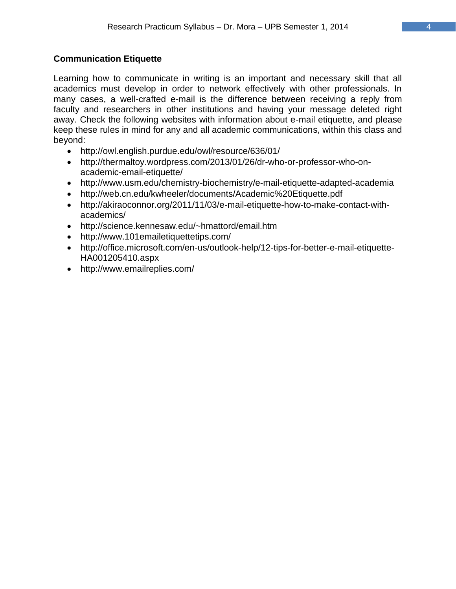## **Communication Etiquette**

Learning how to communicate in writing is an important and necessary skill that all academics must develop in order to network effectively with other professionals. In many cases, a well-crafted e-mail is the difference between receiving a reply from faculty and researchers in other institutions and having your message deleted right away. Check the following websites with information about e-mail etiquette, and please keep these rules in mind for any and all academic communications, within this class and beyond:

- <http://owl.english.purdue.edu/owl/resource/636/01/>
- [http://thermaltoy.wordpress.com/2013/01/26/dr-who-or-professor-who-on](http://thermaltoy.wordpress.com/2013/01/26/dr-who-or-professor-who-on-academic-email-etiquette/)[academic-email-etiquette/](http://thermaltoy.wordpress.com/2013/01/26/dr-who-or-professor-who-on-academic-email-etiquette/)
- <http://www.usm.edu/chemistry-biochemistry/e-mail-etiquette-adapted-academia>
- <http://web.cn.edu/kwheeler/documents/Academic%20Etiquette.pdf>
- http://akiraoconnor.org/2011/11/03/e-mail-etiquette-how-to-make-contact-withacademics/
- http://science.kennesaw.edu/~hmattord/email.htm
- http://www.101emailetiquettetips.com/
- http://office.microsoft.com/en-us/outlook-help/12-tips-for-better-e-mail-etiquette-HA001205410.aspx
- http://www.emailreplies.com/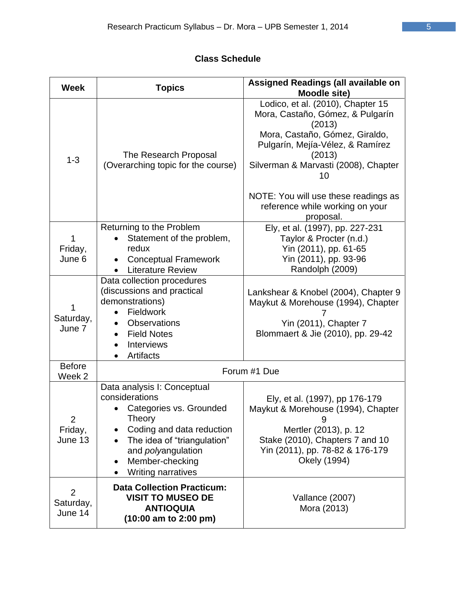# **Class Schedule**

| <b>Week</b>                        | <b>Topics</b>                                                                                                                                                                                                                 | Assigned Readings (all available on<br>Moodle site)                                                                                                                                                                                                                                                   |
|------------------------------------|-------------------------------------------------------------------------------------------------------------------------------------------------------------------------------------------------------------------------------|-------------------------------------------------------------------------------------------------------------------------------------------------------------------------------------------------------------------------------------------------------------------------------------------------------|
| $1 - 3$                            | The Research Proposal<br>(Overarching topic for the course)                                                                                                                                                                   | Lodico, et al. (2010), Chapter 15<br>Mora, Castaño, Gómez, & Pulgarín<br>(2013)<br>Mora, Castaño, Gómez, Giraldo,<br>Pulgarín, Mejía-Vélez, & Ramírez<br>(2013)<br>Silverman & Marvasti (2008), Chapter<br>10<br>NOTE: You will use these readings as<br>reference while working on your<br>proposal. |
| Friday,<br>June 6                  | Returning to the Problem<br>Statement of the problem,<br>redux<br><b>Conceptual Framework</b><br><b>Literature Review</b>                                                                                                     | Ely, et al. (1997), pp. 227-231<br>Taylor & Procter (n.d.)<br>Yin (2011), pp. 61-65<br>Yin (2011), pp. 93-96<br>Randolph (2009)                                                                                                                                                                       |
| Saturday,<br>June 7                | Data collection procedures<br>(discussions and practical<br>demonstrations)<br>Fieldwork<br><b>Observations</b><br><b>Field Notes</b><br>$\bullet$<br><b>Interviews</b><br>Artifacts                                          | Lankshear & Knobel (2004), Chapter 9<br>Maykut & Morehouse (1994), Chapter<br>Yin (2011), Chapter 7<br>Blommaert & Jie (2010), pp. 29-42                                                                                                                                                              |
| <b>Before</b><br>Week <sub>2</sub> | Forum #1 Due                                                                                                                                                                                                                  |                                                                                                                                                                                                                                                                                                       |
| 2<br>Friday,<br>June 13            | Data analysis I: Conceptual<br>considerations<br>• Categories vs. Grounded<br><b>Theory</b><br>Coding and data reduction<br>The idea of "triangulation"<br>and <i>polyangulation</i><br>Member-checking<br>Writing narratives | Ely, et al. (1997), pp 176-179<br>Maykut & Morehouse (1994), Chapter<br>9<br>Mertler (2013), p. 12<br>Stake (2010), Chapters 7 and 10<br>Yin (2011), pp. 78-82 & 176-179<br>Okely (1994)                                                                                                              |
| 2<br>Saturday,<br>June 14          | <b>Data Collection Practicum:</b><br><b>VISIT TO MUSEO DE</b><br><b>ANTIOQUIA</b><br>$(10:00$ am to 2:00 pm)                                                                                                                  | Vallance (2007)<br>Mora (2013)                                                                                                                                                                                                                                                                        |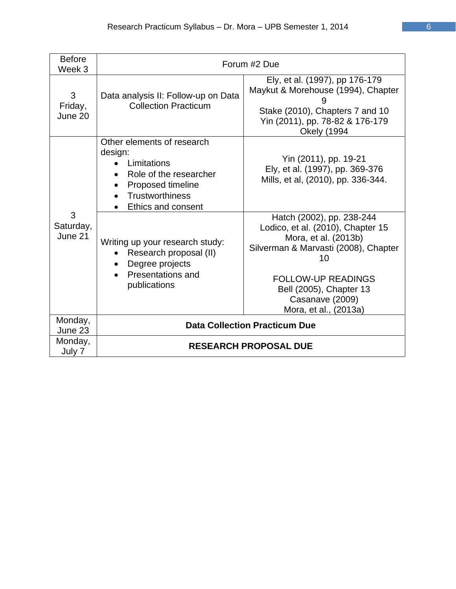| <b>Before</b><br>Week 3   | Forum #2 Due                                                                                                                                        |                                                                                                                                                                                                                                          |
|---------------------------|-----------------------------------------------------------------------------------------------------------------------------------------------------|------------------------------------------------------------------------------------------------------------------------------------------------------------------------------------------------------------------------------------------|
| 3<br>Friday,<br>June 20   | Data analysis II: Follow-up on Data<br><b>Collection Practicum</b>                                                                                  | Ely, et al. (1997), pp 176-179<br>Maykut & Morehouse (1994), Chapter<br>Stake (2010), Chapters 7 and 10<br>Yin (2011), pp. 78-82 & 176-179<br><b>Okely (1994</b>                                                                         |
| 3<br>Saturday,<br>June 21 | Other elements of research<br>design:<br>Limitations<br>Role of the researcher<br>Proposed timeline<br><b>Trustworthiness</b><br>Ethics and consent | Yin (2011), pp. 19-21<br>Ely, et al. (1997), pp. 369-376<br>Mills, et al, (2010), pp. 336-344.                                                                                                                                           |
|                           | Writing up your research study:<br>Research proposal (II)<br>Degree projects<br><b>Presentations and</b><br>publications                            | Hatch (2002), pp. 238-244<br>Lodico, et al. (2010), Chapter 15<br>Mora, et al. (2013b)<br>Silverman & Marvasti (2008), Chapter<br>10<br><b>FOLLOW-UP READINGS</b><br>Bell (2005), Chapter 13<br>Casanave (2009)<br>Mora, et al., (2013a) |
| Monday,<br>June 23        | <b>Data Collection Practicum Due</b>                                                                                                                |                                                                                                                                                                                                                                          |
| Monday,<br>July 7         | <b>RESEARCH PROPOSAL DUE</b>                                                                                                                        |                                                                                                                                                                                                                                          |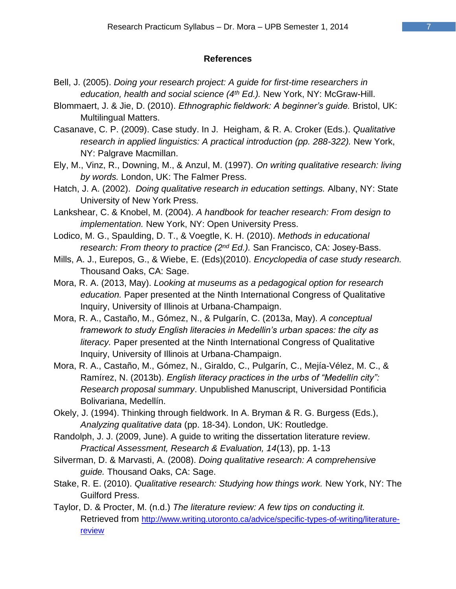#### **References**

- Bell, J. (2005). *Doing your research project: A guide for first-time researchers in education, health and social science (4th Ed.).* New York, NY: McGraw-Hill.
- Blommaert, J. & Jie, D. (2010). *Ethnographic fieldwork: A beginner's guide.* Bristol, UK: Multilingual Matters.
- Casanave, C. P. (2009). Case study. In J. Heigham, & R. A. Croker (Eds.). *Qualitative research in applied linguistics: A practical introduction (pp. 288-322).* New York, NY: Palgrave Macmillan.
- Ely, M., Vinz, R., Downing, M., & Anzul, M. (1997). *On writing qualitative research: living by words.* London, UK: The Falmer Press.
- Hatch, J. A. (2002). *Doing qualitative research in education settings.* Albany, NY: State University of New York Press.
- Lankshear, C. & Knobel, M. (2004). *A handbook for teacher research: From design to implementation.* New York, NY: Open University Press.
- Lodico, M. G., Spaulding, D. T., & Voegtle, K. H. (2010). *Methods in educational research: From theory to practice (2nd Ed.).* San Francisco, CA: Josey-Bass.
- Mills, A. J., Eurepos, G., & Wiebe, E. (Eds)(2010). *Encyclopedia of case study research.*  Thousand Oaks, CA: Sage.
- Mora, R. A. (2013, May). *Looking at museums as a pedagogical option for research education.* Paper presented at the Ninth International Congress of Qualitative Inquiry, University of Illinois at Urbana-Champaign.
- Mora, R. A., Castaño, M., Gómez, N., & Pulgarín, C. (2013a, May). *A conceptual framework to study English literacies in Medellin's urban spaces: the city as literacy.* Paper presented at the Ninth International Congress of Qualitative Inquiry, University of Illinois at Urbana-Champaign.
- Mora, R. A., Castaño, M., Gómez, N., Giraldo, C., Pulgarín, C., Mejía-Vélez, M. C., & Ramírez, N. (2013b). *English literacy practices in the urbs of "Medellín city": Research proposal summary*. Unpublished Manuscript, Universidad Pontificia Bolivariana, Medellín.
- Okely, J. (1994). Thinking through fieldwork. In A. Bryman & R. G. Burgess (Eds.), *Analyzing qualitative data* (pp. 18-34). London, UK: Routledge.
- Randolph, J. J. (2009, June). A guide to writing the dissertation literature review. *Practical Assessment, Research & Evaluation, 14*(13), pp. 1-13
- Silverman, D. & Marvasti, A. (2008). *Doing qualitative research: A comprehensive guide.* Thousand Oaks, CA: Sage.
- Stake, R. E. (2010). *Qualitative research: Studying how things work.* New York, NY: The Guilford Press.
- Taylor, D. & Procter, M. (n.d.) *The literature review: A few tips on conducting it.*  Retrieved from [http://www.writing.utoronto.ca/advice/specific-types-of-writing/literature](http://www.writing.utoronto.ca/advice/specific-types-of-writing/literature-review)**[review](http://www.writing.utoronto.ca/advice/specific-types-of-writing/literature-review)**